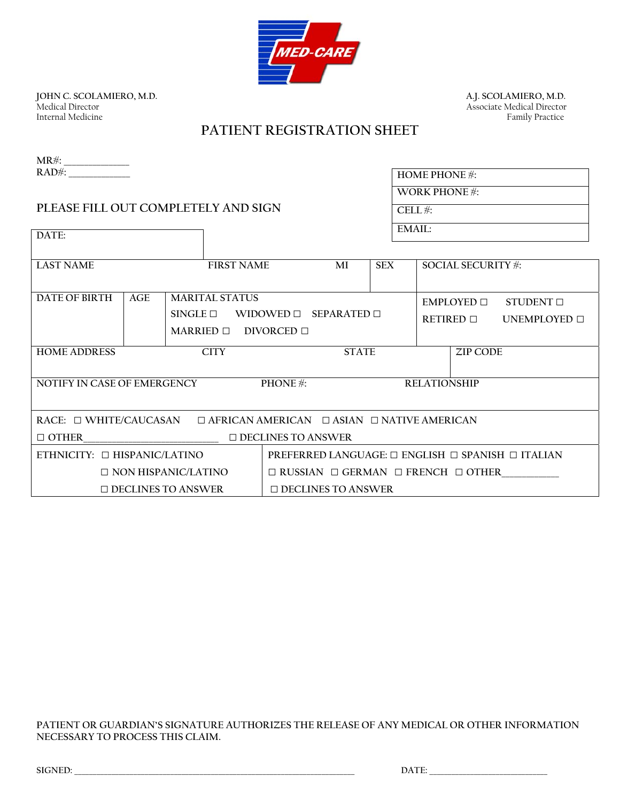

**JOHN C. SCOLAMIERO, M.D.**<br>Medical Director Internal Medicine

A.J. SCOLAMIERO, M.D.<br>Associate Medical Director<br>Family Practice

# **PATIENT REGISTRATION SHEET**

| $MR#$ :      |  |
|--------------|--|
| $RAD$ $\#$ : |  |

**DATE:** 

## **PLEASE FILL OUT COMPLETELY AND SIGN**

| HOME PHONE $#$ :  |
|-------------------|
| WORK PHONE $\#$ : |
| CELL $#$ :        |
| EMAII:            |

| <b>LAST NAME</b>                  |     | <b>FIRST NAME</b>          |                     | MI                        | <b>SEX</b> | <b>SOCIAL SECURITY #:</b>                                        |
|-----------------------------------|-----|----------------------------|---------------------|---------------------------|------------|------------------------------------------------------------------|
|                                   |     |                            |                     |                           |            |                                                                  |
| DATE OF BIRTH                     | AGE | <b>MARITAL STATUS</b>      |                     |                           |            | $EMPI$ OYED $\Box$<br>STUDENT $\square$                          |
|                                   |     | $SINGLE \square$           | WIDOWED $\Box$      | SFPARATFD <sub>1</sub>    |            | RETIRED $\Box$<br>UNEMPLOYED $\Box$                              |
|                                   |     | MARRIED $\Box$             | DIVORCED $\Box$     |                           |            |                                                                  |
| <b>HOME ADDRESS</b>               |     | <b>CITY</b>                |                     | <b>STATE</b>              |            | ZIP CODE                                                         |
|                                   |     |                            |                     |                           |            |                                                                  |
| NOTIFY IN CASE OF EMERGENCY       |     |                            | <b>PHONE</b> $\#$ : |                           |            | <b>RELATIONSHIP</b>                                              |
|                                   |     |                            |                     |                           |            |                                                                  |
|                                   |     |                            |                     |                           |            |                                                                  |
| RACE: $\Box$ WHITE/CAUCASAN       |     |                            |                     |                           |            | $\Box$ AFRICAN AMERICAN $\Box$ ASIAN $\Box$ NATIVE AMERICAN      |
| $\Box$ OTHER                      |     |                            |                     | $\Box$ DECLINES TO ANSWER |            |                                                                  |
| ETHNICITY: $\Box$ HISPANIC/LATINO |     |                            |                     |                           |            | PREFERRED LANGUAGE: $\Box$ ENGLISH $\Box$ SPANISH $\Box$ ITALIAN |
|                                   |     | $\Box$ NON HISPANIC/LATINO |                     |                           |            | $\Box$ RUSSIAN $\Box$ GERMAN $\Box$ FRENCH $\Box$ OTHER          |
|                                   |     | $\Box$ DECLINES TO ANSWER  |                     | $\Box$ DECLINES TO ANSWER |            |                                                                  |

**PATIENT OR GUARDIAN'S SIGNATURE AUTHORIZES THE RELEASE OF ANY MEDICAL OR OTHER INFORMATION NECESSARY TO PROCESS THIS CLAIM.** 

| SIGNED: | DА |  |
|---------|----|--|
|         |    |  |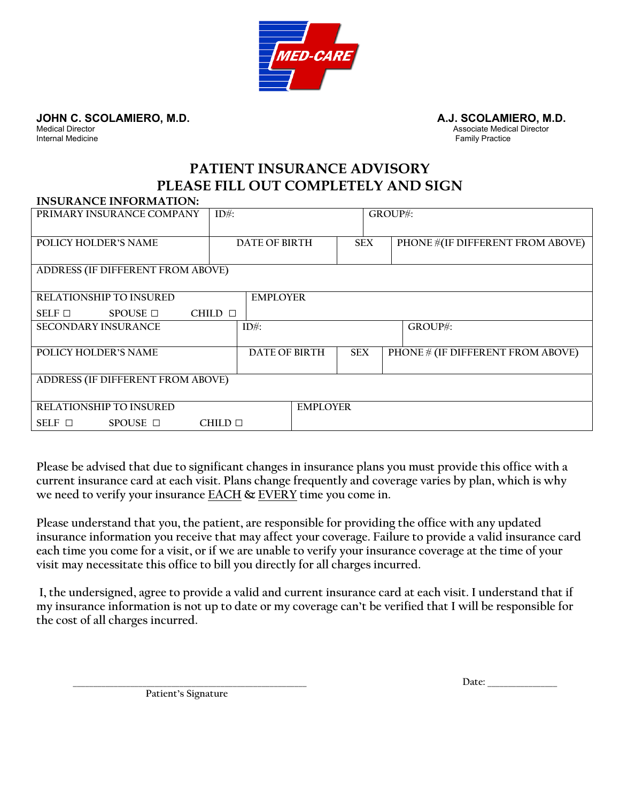

**JOHN C. SCOLAMIERO, M.D.**<br>Medical Director **A.J. SCOLAMIERO, M.D.**<br>Associate Medical Director

Medical Director Associate Medical Director **Internal Medicine** Family Practice **Family Practice** Family Practice **Family Practice** 

# **PATIENT INSURANCE ADVISORY PLEASE FILL OUT COMPLETELY AND SIGN**

## **INSURANCE INFORMATION:**

| PRIMARY INSURANCE COMPANY         | $ID#$ :           |                 | GROUP#:    |                                          |
|-----------------------------------|-------------------|-----------------|------------|------------------------------------------|
| <b>POLICY HOLDER'S NAME</b>       | DATE OF BIRTH     |                 | <b>SEX</b> | <b>PHONE #(IF DIFFERENT FROM ABOVE)</b>  |
|                                   |                   |                 |            |                                          |
| ADDRESS (IF DIFFERENT FROM ABOVE) |                   |                 |            |                                          |
| RELATIONSHIP TO INSURED           | <b>EMPLOYER</b>   |                 |            |                                          |
|                                   |                   |                 |            |                                          |
| $SPOUSE \Box$<br>SELF $\Box$      | CHILD $\Box$      |                 |            |                                          |
| <b>SECONDARY INSURANCE</b>        | $ID#$ :           |                 |            | GROUP#:                                  |
|                                   |                   |                 |            |                                          |
| <b>POLICY HOLDER'S NAME</b>       | DATE OF BIRTH     | <b>SEX</b>      |            | <b>PHONE # (IF DIFFERENT FROM ABOVE)</b> |
|                                   |                   |                 |            |                                          |
| ADDRESS (IF DIFFERENT FROM ABOVE) |                   |                 |            |                                          |
|                                   |                   |                 |            |                                          |
| RELATIONSHIP TO INSURED           |                   | <b>EMPLOYER</b> |            |                                          |
| $SPOUSE$ $\square$<br>SELF $\Box$ | $CHILD$ $\square$ |                 |            |                                          |

**Please be advised that due to significant changes in insurance plans you must provide this office with a current insurance card at each visit. Plans change frequently and coverage varies by plan, which is why we need to verify your insurance EACH & EVERY time you come in.** 

**Please understand that you, the patient, are responsible for providing the office with any updated insurance information you receive that may affect your coverage. Failure to provide a valid insurance card each time you come for a visit, or if we are unable to verify your insurance coverage at the time of your visit may necessitate this office to bill you directly for all charges incurred.** 

 **I, the undersigned, agree to provide a valid and current insurance card at each visit. I understand that if my insurance information is not up to date or my coverage can't be verified that I will be responsible for the cost of all charges incurred.** 

**\_\_\_\_\_\_\_\_\_\_\_\_\_\_\_\_\_\_\_\_\_\_\_\_\_\_\_\_\_\_\_\_\_\_\_\_\_\_\_\_\_\_\_\_\_\_\_\_\_\_\_\_\_\_\_\_\_ Date: \_\_\_\_\_\_\_\_\_\_\_\_\_\_\_\_\_** 

**Patient's Signature**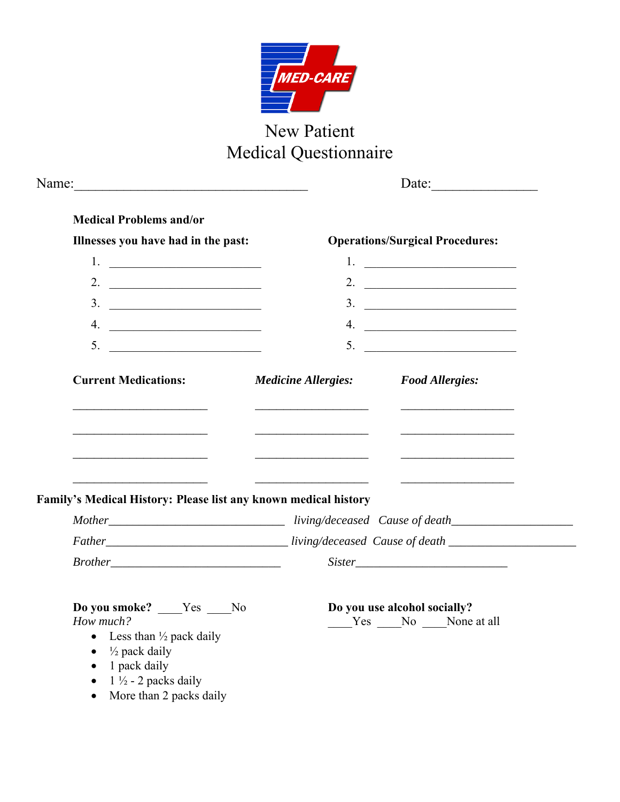

# New Patient Medical Questionnaire

|                                                                                                                                                                                           |                                                                          | Date: $\qquad \qquad$                              |  |  |  |
|-------------------------------------------------------------------------------------------------------------------------------------------------------------------------------------------|--------------------------------------------------------------------------|----------------------------------------------------|--|--|--|
| <b>Medical Problems and/or</b>                                                                                                                                                            |                                                                          |                                                    |  |  |  |
| Illnesses you have had in the past:                                                                                                                                                       |                                                                          | <b>Operations/Surgical Procedures:</b>             |  |  |  |
|                                                                                                                                                                                           |                                                                          | 1. $\qquad \qquad$                                 |  |  |  |
| 2. $\qquad \qquad$                                                                                                                                                                        |                                                                          | 2. $\qquad \qquad$                                 |  |  |  |
|                                                                                                                                                                                           |                                                                          |                                                    |  |  |  |
| 4. $\overline{\phantom{a}}$                                                                                                                                                               |                                                                          |                                                    |  |  |  |
| 5. $\qquad \qquad$                                                                                                                                                                        |                                                                          |                                                    |  |  |  |
| <b>Current Medications:</b>                                                                                                                                                               | <b>Medicine Allergies:</b>                                               | <b>Food Allergies:</b>                             |  |  |  |
|                                                                                                                                                                                           | <u> 1989 - Jan James James Barnett, president eta idazlea (h. 1982).</u> |                                                    |  |  |  |
| Family's Medical History: Please list any known medical history                                                                                                                           |                                                                          |                                                    |  |  |  |
|                                                                                                                                                                                           |                                                                          |                                                    |  |  |  |
|                                                                                                                                                                                           |                                                                          |                                                    |  |  |  |
|                                                                                                                                                                                           |                                                                          |                                                    |  |  |  |
| Do you smoke? ____Yes ____No<br>How much?<br>• Less than $\frac{1}{2}$ pack daily<br>$\frac{1}{2}$ pack daily<br>$\bullet$<br>1 pack daily<br>$\bullet$<br>$1\frac{1}{2}$ - 2 packs daily |                                                                          | Do you use alcohol socially?<br>Yes No None at all |  |  |  |
| More than 2 packs daily<br>$\bullet$                                                                                                                                                      |                                                                          |                                                    |  |  |  |